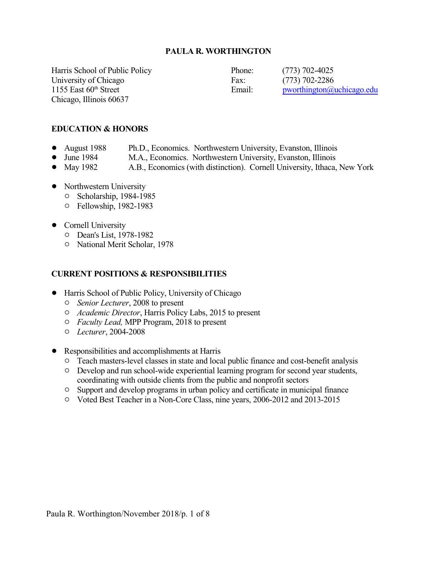#### **PAULA R. WORTHINGTON**

Harris School of Public Policy Phone: (773) 702-4025 University of Chicago Fax: (773) 702-2286 1155 East 60<sup>th</sup> Street Chicago, Illinois 60637

Email: [pworthington@uchicago.edu](mailto:pworthington@uchicago.edu)

#### **EDUCATION & HONORS**

- August 1988 Ph.D., Economics. Northwestern University, Evanston, Illinois
	-
- June 1984 M.A., Economics. Northwestern University, Evanston, Illinois<br>• May 1982 A.B., Economics (with distinction). Cornell University, Ithaca. A.B., Economics (with distinction). Cornell University, Ithaca, New York
- Northwestern University
	- $O$  Scholarship, 1984-1985
	- 0 Fellowship, 1982-1983
- Cornell University
	- 0 Dean's List, 1978-1982
	- $\circ$  National Merit Scholar, 1978

#### **CURRENT POSITIONS & RESPONSIBILITIES**

- ! Harris School of Public Policy, University of Chicago
	- " *Senior Lecturer*, 2008 to present
	- " *Academic Director*, Harris Policy Labs, 2015 to present
	- " *Faculty Lead,* MPP Program, 2018 to present
	- " *Lecturer*, 2004-2008
- Responsibilities and accomplishments at Harris
	- <sup>o</sup> Teach masters-level classes in state and local public finance and cost-benefit analysis
	- $\circ$  Develop and run school-wide experiential learning program for second year students, coordinating with outside clients from the public and nonprofit sectors
	- <sup> $\circ$ </sup> Support and develop programs in urban policy and certificate in municipal finance
	- $\circ$  Voted Best Teacher in a Non-Core Class, nine years, 2006-2012 and 2013-2015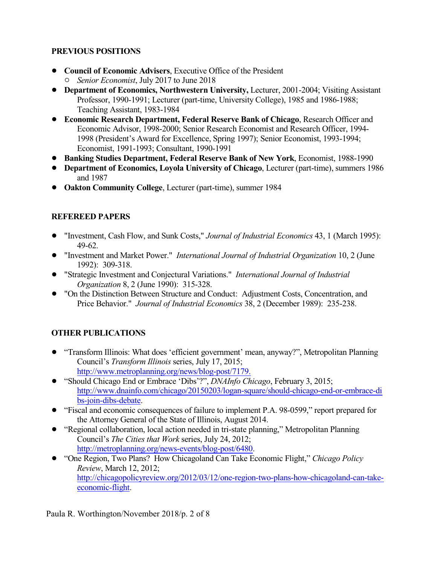## **PREVIOUS POSITIONS**

- ! **Council of Economic Advisers**, Executive Office of the President " *Senior Economist*, July 2017 to June 2018
- ! **Department of Economics, Northwestern University,** Lecturer, 2001-2004; Visiting Assistant Professor, 1990-1991; Lecturer (part-time, University College), 1985 and 1986-1988; Teaching Assistant, 1983-1984
- ! **Economic Research Department, Federal Reserve Bank of Chicago**, Research Officer and Economic Advisor, 1998-2000; Senior Research Economist and Research Officer, 1994- 1998 (President's Award for Excellence, Spring 1997); Senior Economist, 1993-1994; Economist, 1991-1993; Consultant, 1990-1991
- ! **Banking Studies Department, Federal Reserve Bank of New York**, Economist, 1988-1990
- ! **Department of Economics, Loyola University of Chicago**, Lecturer (part-time), summers 1986 and 1987
- ! **Oakton Community College**, Lecturer (part-time), summer 1984

## **REFEREED PAPERS**

- ! "Investment, Cash Flow, and Sunk Costs," *Journal of Industrial Economics* 43, 1 (March 1995): 49-62.
- ! "Investment and Market Power." *International Journal of Industrial Organization* 10, 2 (June 1992): 309-318.
- ! "Strategic Investment and Conjectural Variations." *International Journal of Industrial Organization* 8, 2 (June 1990): 315-328.
- ! "On the Distinction Between Structure and Conduct: Adjustment Costs, Concentration, and Price Behavior." *Journal of Industrial Economics* 38, 2 (December 1989): 235-238.

# **OTHER PUBLICATIONS**

- ! "Transform Illinois: What does 'efficient government' mean, anyway?", Metropolitan Planning Council's *Transform Illinois* series, July 17, 2015; [http://www.metroplanning.org/news/blog-post/7179.](http://www.metroplanning.org/news/blog-post/7179)
- ! "Should Chicago End or Embrace 'Dibs'?", *DNAInfo Chicago*, February 3, 2015; [http://www.dnainfo.com/chicago/20150203/logan-square/should-chicago-end-or-embrace-di](http://www.dnainfo.com/chicago/20150203/logan-square/should-chicago-end-or-embrace-dibs-join-dibs-debate) [bs-join-dibs-debate](http://www.dnainfo.com/chicago/20150203/logan-square/should-chicago-end-or-embrace-dibs-join-dibs-debate).
- "Fiscal and economic consequences of failure to implement P.A. 98-0599," report prepared for the Attorney General of the State of Illinois, August 2014.
- "Regional collaboration, local action needed in tri-state planning," Metropolitan Planning Council's *The Cities that Work* series, July 24, 2012; <http://metroplanning.org/news-events/blog-post/6480>.
- ! "One Region, Two Plans? How Chicagoland Can Take Economic Flight," *Chicago Policy Review*, March 12, 2012; [http://chicagopolicyreview.org/2012/03/12/one-region-two-plans-how-chicagoland-can-take](http://chicagopolicyreview.org/2012/03/12/one-region-two-plans-how-chicagoland-can-take-economic-flight)[economic-flight](http://chicagopolicyreview.org/2012/03/12/one-region-two-plans-how-chicagoland-can-take-economic-flight).

Paula R. Worthington/November 2018/p. 2 of 8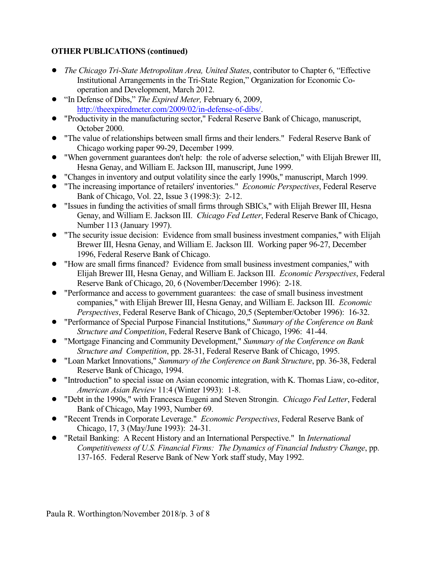## **OTHER PUBLICATIONS (continued)**

- ! *The Chicago Tri-State Metropolitan Area, United States*, contributor to Chapter 6, "Effective Institutional Arrangements in the Tri-State Region," Organization for Economic Cooperation and Development, March 2012.
- ! "In Defense of Dibs," *The Expired Meter,* February 6, 2009, <http://theexpiredmeter.com/2009/02/in-defense-of-dibs/>.
- ! "Productivity in the manufacturing sector," Federal Reserve Bank of Chicago, manuscript, October 2000.
- ! "The value of relationships between small firms and their lenders." Federal Reserve Bank of Chicago working paper 99-29, December 1999.
- ! "When government guarantees don't help: the role of adverse selection," with Elijah Brewer III, Hesna Genay, and William E. Jackson III, manuscript, June 1999.
- ! "Changes in inventory and output volatility since the early 1990s," manuscript, March 1999.
- ! "The increasing importance of retailers' inventories." *Economic Perspectives*, Federal Reserve Bank of Chicago, Vol. 22, Issue 3 (1998:3): 2-12.
- ! "Issues in funding the activities of small firms through SBICs," with Elijah Brewer III, Hesna Genay, and William E. Jackson III. *Chicago Fed Letter*, Federal Reserve Bank of Chicago, Number 113 (January 1997).
- "The security issue decision: Evidence from small business investment companies," with Elijah Brewer III, Hesna Genay, and William E. Jackson III. Working paper 96-27, December 1996, Federal Reserve Bank of Chicago.
- ! "How are small firms financed? Evidence from small business investment companies," with Elijah Brewer III, Hesna Genay, and William E. Jackson III. *Economic Perspectives*, Federal Reserve Bank of Chicago, 20, 6 (November/December 1996): 2-18.
- ! "Performance and access to government guarantees: the case of small business investment companies," with Elijah Brewer III, Hesna Genay, and William E. Jackson III. *Economic Perspectives*, Federal Reserve Bank of Chicago, 20,5 (September/October 1996): 16-32.
- ! "Performance of Special Purpose Financial Institutions," *Summary of the Conference on Bank Structure and Competition*, Federal Reserve Bank of Chicago, 1996: 41-44.
- ! "Mortgage Financing and Community Development," *Summary of the Conference on Bank Structure and Competition*, pp. 28-31, Federal Reserve Bank of Chicago, 1995.
- ! "Loan Market Innovations," *Summary of the Conference on Bank Structure*, pp. 36-38, Federal Reserve Bank of Chicago, 1994.
- ! "Introduction" to special issue on Asian economic integration, with K. Thomas Liaw, co-editor, *American Asian Review* 11:4 (Winter 1993): 1-8.
- ! "Debt in the 1990s," with Francesca Eugeni and Steven Strongin. *Chicago Fed Letter*, Federal Bank of Chicago, May 1993, Number 69.
- ! "Recent Trends in Corporate Leverage." *Economic Perspectives*, Federal Reserve Bank of Chicago, 17, 3 (May/June 1993): 24-31.
- ! "Retail Banking: A Recent History and an International Perspective." In *International Competitiveness of U.S. Financial Firms: The Dynamics of Financial Industry Change*, pp. 137-165. Federal Reserve Bank of New York staff study, May 1992.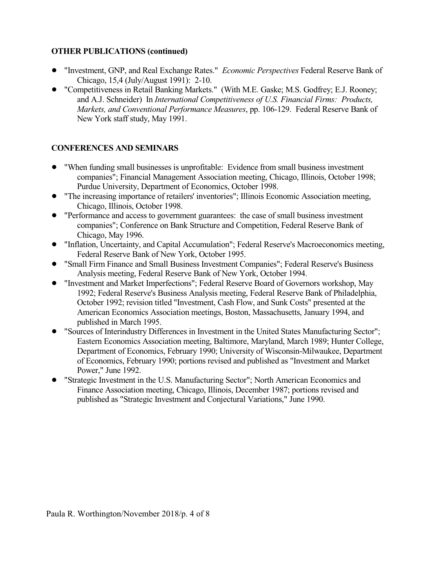### **OTHER PUBLICATIONS (continued)**

- ! "Investment, GNP, and Real Exchange Rates." *Economic Perspectives* Federal Reserve Bank of Chicago, 15,4 (July/August 1991): 2-10.
- ! "Competitiveness in Retail Banking Markets." (With M.E. Gaske; M.S. Godfrey; E.J. Rooney; and A.J. Schneider) In *International Competitiveness of U.S. Financial Firms: Products, Markets, and Conventional Performance Measures*, pp. 106-129. Federal Reserve Bank of New York staff study, May 1991.

# **CONFERENCES AND SEMINARS**

- ! "When funding small businesses is unprofitable: Evidence from small business investment companies"; Financial Management Association meeting, Chicago, Illinois, October 1998; Purdue University, Department of Economics, October 1998.
- ! "The increasing importance of retailers' inventories"; Illinois Economic Association meeting, Chicago, Illinois, October 1998.
- ! "Performance and access to government guarantees: the case of small business investment companies"; Conference on Bank Structure and Competition, Federal Reserve Bank of Chicago, May 1996.
- ! "Inflation, Uncertainty, and Capital Accumulation"; Federal Reserve's Macroeconomics meeting, Federal Reserve Bank of New York, October 1995.
- ! "Small Firm Finance and Small Business Investment Companies"; Federal Reserve's Business Analysis meeting, Federal Reserve Bank of New York, October 1994.
- ! "Investment and Market Imperfections"; Federal Reserve Board of Governors workshop, May 1992; Federal Reserve's Business Analysis meeting, Federal Reserve Bank of Philadelphia, October 1992; revision titled "Investment, Cash Flow, and Sunk Costs" presented at the American Economics Association meetings, Boston, Massachusetts, January 1994, and published in March 1995.
- ! "Sources of Interindustry Differences in Investment in the United States Manufacturing Sector"; Eastern Economics Association meeting, Baltimore, Maryland, March 1989; Hunter College, Department of Economics, February 1990; University of Wisconsin-Milwaukee, Department of Economics, February 1990; portions revised and published as "Investment and Market Power," June 1992.
- ! "Strategic Investment in the U.S. Manufacturing Sector"; North American Economics and Finance Association meeting, Chicago, Illinois, December 1987; portions revised and published as "Strategic Investment and Conjectural Variations," June 1990.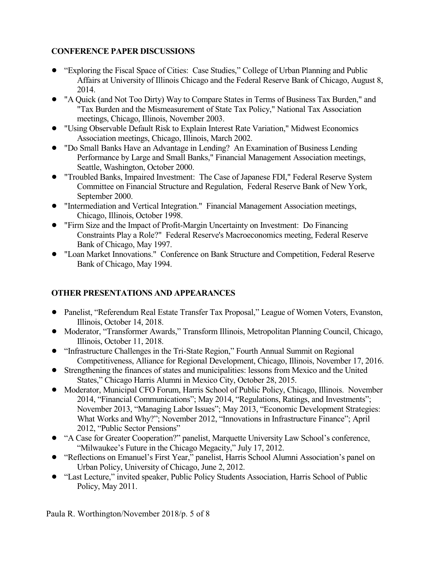## **CONFERENCE PAPER DISCUSSIONS**

- ! "Exploring the Fiscal Space of Cities: Case Studies," College of Urban Planning and Public Affairs at University of Illinois Chicago and the Federal Reserve Bank of Chicago, August 8, 2014.
- ! "A Quick (and Not Too Dirty) Way to Compare States in Terms of Business Tax Burden," and "Tax Burden and the Mismeasurement of State Tax Policy," National Tax Association meetings, Chicago, Illinois, November 2003.
- ! "Using Observable Default Risk to Explain Interest Rate Variation," Midwest Economics Association meetings, Chicago, Illinois, March 2002.
- ! "Do Small Banks Have an Advantage in Lending? An Examination of Business Lending Performance by Large and Small Banks," Financial Management Association meetings, Seattle, Washington, October 2000.
- ! "Troubled Banks, Impaired Investment: The Case of Japanese FDI," Federal Reserve System Committee on Financial Structure and Regulation, Federal Reserve Bank of New York, September 2000.
- ! "Intermediation and Vertical Integration." Financial Management Association meetings, Chicago, Illinois, October 1998.
- ! "Firm Size and the Impact of Profit-Margin Uncertainty on Investment: Do Financing Constraints Play a Role?" Federal Reserve's Macroeconomics meeting, Federal Reserve Bank of Chicago, May 1997.
- ! "Loan Market Innovations." Conference on Bank Structure and Competition, Federal Reserve Bank of Chicago, May 1994.

# **OTHER PRESENTATIONS AND APPEARANCES**

- ! Panelist, "Referendum Real Estate Transfer Tax Proposal," League of Women Voters, Evanston, Illinois, October 14, 2018.
- ! Moderator, "Transformer Awards," Transform Illinois, Metropolitan Planning Council, Chicago, Illinois, October 11, 2018.
- "Infrastructure Challenges in the Tri-State Region," Fourth Annual Summit on Regional Competitiveness, Alliance for Regional Development, Chicago, Illinois, November 17, 2016.
- ! Strengthening the finances of states and municipalities: lessons from Mexico and the United States," Chicago Harris Alumni in Mexico City, October 28, 2015.
- ! Moderator, Municipal CFO Forum, Harris School of Public Policy, Chicago, Illinois. November 2014, "Financial Communications"; May 2014, "Regulations, Ratings, and Investments"; November 2013, "Managing Labor Issues"; May 2013, "Economic Development Strategies: What Works and Why?"; November 2012, "Innovations in Infrastructure Finance"; April 2012, "Public Sector Pensions"
- ! "A Case for Greater Cooperation?" panelist, Marquette University Law School's conference, "Milwaukee's Future in the Chicago Megacity," July 17, 2012.
- ! "Reflections on Emanuel's First Year," panelist, Harris School Alumni Association's panel on Urban Policy, University of Chicago, June 2, 2012.
- "Last Lecture," invited speaker, Public Policy Students Association, Harris School of Public Policy, May 2011.

Paula R. Worthington/November 2018/p. 5 of 8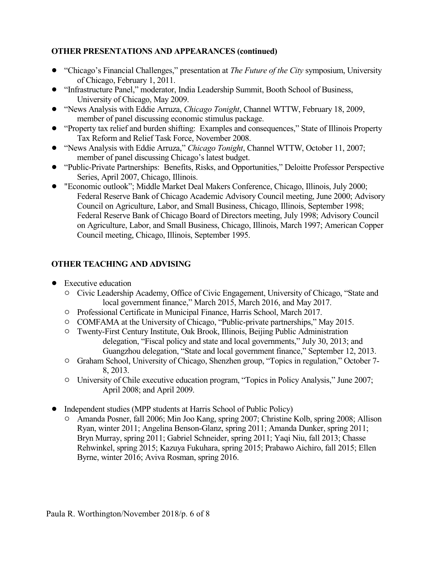## **OTHER PRESENTATIONS AND APPEARANCES (continued)**

- ! "Chicago's Financial Challenges," presentation at *The Future of the City* symposium, University of Chicago, February 1, 2011.
- ! "Infrastructure Panel," moderator, India Leadership Summit, Booth School of Business, University of Chicago, May 2009.
- ! "News Analysis with Eddie Arruza, *Chicago Tonight*, Channel WTTW, February 18, 2009, member of panel discussing economic stimulus package.
- ! "Property tax relief and burden shifting: Examples and consequences," State of Illinois Property Tax Reform and Relief Task Force, November 2008.
- ! "News Analysis with Eddie Arruza," *Chicago Tonight*, Channel WTTW, October 11, 2007; member of panel discussing Chicago's latest budget.
- ! "Public-Private Partnerships: Benefits, Risks, and Opportunities," Deloitte Professor Perspective Series, April 2007, Chicago, Illinois.
- ! "Economic outlook"; Middle Market Deal Makers Conference, Chicago, Illinois, July 2000; Federal Reserve Bank of Chicago Academic Advisory Council meeting, June 2000; Advisory Council on Agriculture, Labor, and Small Business, Chicago, Illinois, September 1998; Federal Reserve Bank of Chicago Board of Directors meeting, July 1998; Advisory Council on Agriculture, Labor, and Small Business, Chicago, Illinois, March 1997; American Copper Council meeting, Chicago, Illinois, September 1995.

# **OTHER TEACHING AND ADVISING**

- Executive education
	- " Civic Leadership Academy, Office of Civic Engagement, University of Chicago, "State and local government finance," March 2015, March 2016, and May 2017.
	- " Professional Certificate in Municipal Finance, Harris School, March 2017.
	- $\circ$  COMFAMA at the University of Chicago, "Public-private partnerships," May 2015.
	- <sup>O</sup> Twenty-First Century Institute, Oak Brook, Illinois, Beijing Public Administration delegation, "Fiscal policy and state and local governments," July 30, 2013; and Guangzhou delegation, "State and local government finance," September 12, 2013.
	- <sup>o</sup> Graham School, University of Chicago, Shenzhen group, "Topics in regulation," October 7-8, 2013.
	- <sup>o</sup> University of Chile executive education program, "Topics in Policy Analysis," June 2007; April 2008; and April 2009.
- Independent studies (MPP students at Harris School of Public Policy)
	- <sup>o</sup> Amanda Posner, fall 2006; Min Joo Kang, spring 2007; Christine Kolb, spring 2008; Allison Ryan, winter 2011; Angelina Benson-Glanz, spring 2011; Amanda Dunker, spring 2011; Bryn Murray, spring 2011; Gabriel Schneider, spring 2011; Yaqi Niu, fall 2013; Chasse Rehwinkel, spring 2015; Kazuya Fukuhara, spring 2015; Prabawo Aichiro, fall 2015; Ellen Byrne, winter 2016; Aviva Rosman, spring 2016.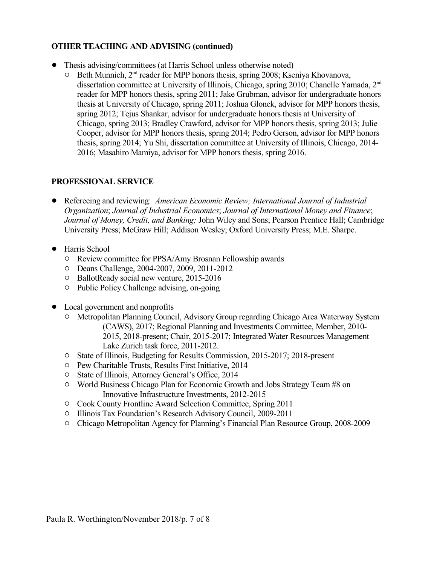#### **OTHER TEACHING AND ADVISING (continued)**

- Thesis advising/committees (at Harris School unless otherwise noted)
	- O Beth Munnich, 2<sup>nd</sup> reader for MPP honors thesis, spring 2008; Kseniya Khovanova, dissertation committee at University of Illinois, Chicago, spring 2010; Chanelle Yamada, 2<sup>nd</sup> reader for MPP honors thesis, spring 2011; Jake Grubman, advisor for undergraduate honors thesis at University of Chicago, spring 2011; Joshua Glonek, advisor for MPP honors thesis, spring 2012; Tejus Shankar, advisor for undergraduate honors thesis at University of Chicago, spring 2013; Bradley Crawford, advisor for MPP honors thesis, spring 2013; Julie Cooper, advisor for MPP honors thesis, spring 2014; Pedro Gerson, advisor for MPP honors thesis, spring 2014; Yu Shi, dissertation committee at University of Illinois, Chicago, 2014- 2016; Masahiro Mamiya, advisor for MPP honors thesis, spring 2016.

#### **PROFESSIONAL SERVICE**

- ! Refereeing and reviewing: *American Economic Review; International Journal of Industrial Organization*; *Journal of Industrial Economics*; *Journal of International Money and Finance*; *Journal of Money, Credit, and Banking;* John Wiley and Sons; Pearson Prentice Hall; Cambridge University Press; McGraw Hill; Addison Wesley; Oxford University Press; M.E. Sharpe.
- Harris School
	- $\circ$  Review committee for PPSA/Amy Brosnan Fellowship awards
	- O Deans Challenge, 2004-2007, 2009, 2011-2012
	- <sup>o</sup> BallotReady social new venture, 2015-2016
	- $\circ$  Public Policy Challenge advising, on-going
- Local government and nonprofits
	- <sup>o</sup> Metropolitan Planning Council, Advisory Group regarding Chicago Area Waterway System (CAWS), 2017; Regional Planning and Investments Committee, Member, 2010- 2015, 2018-present; Chair, 2015-2017; Integrated Water Resources Management Lake Zurich task force, 2011-2012.
	- <sup> $\circ$ </sup> State of Illinois, Budgeting for Results Commission, 2015-2017; 2018-present
	- <sup>O</sup> Pew Charitable Trusts, Results First Initiative, 2014
	- <sup>o</sup> State of Illinois, Attorney General's Office, 2014
	- $\circ$  World Business Chicago Plan for Economic Growth and Jobs Strategy Team #8 on Innovative Infrastructure Investments, 2012-2015
	- <sup> $\degree$ </sup> Cook County Frontline Award Selection Committee, Spring 2011
	- $\circ$  Illinois Tax Foundation's Research Advisory Council, 2009-2011
	- " Chicago Metropolitan Agency for Planning's Financial Plan Resource Group, 2008-2009